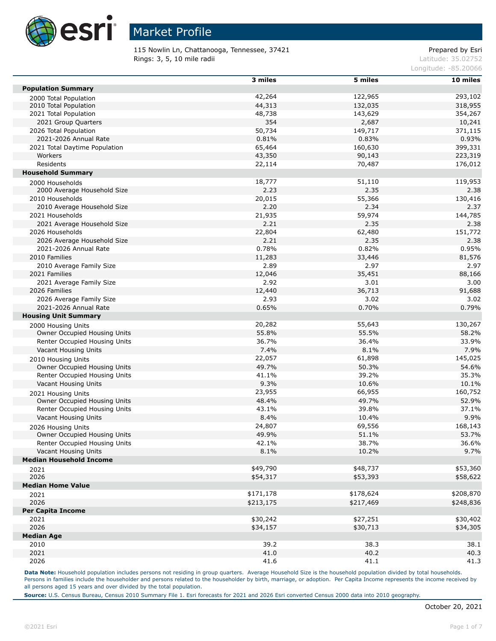

115 Nowlin Ln, Chattanooga, Tennessee, 37421 **Prepared by Esri** Prepared by Esri Rings: 3, 5, 10 mile radii and the contract of the contract of the contract of the contract of the contract of the contract of the contract of the contract of the contract of the contract of the contract of the contract of

Longitude: -85.20066

|                                | 3 miles   | 5 miles   | 10 miles  |
|--------------------------------|-----------|-----------|-----------|
| <b>Population Summary</b>      |           |           |           |
| 2000 Total Population          | 42,264    | 122,965   | 293,102   |
| 2010 Total Population          | 44,313    | 132,035   | 318,955   |
| 2021 Total Population          | 48,738    | 143,629   | 354,267   |
| 2021 Group Quarters            | 354       | 2,687     | 10,241    |
| 2026 Total Population          | 50,734    | 149,717   | 371,115   |
| 2021-2026 Annual Rate          | 0.81%     | 0.83%     | 0.93%     |
| 2021 Total Daytime Population  | 65,464    | 160,630   | 399,331   |
| Workers                        | 43,350    | 90,143    | 223,319   |
| Residents                      | 22,114    | 70,487    | 176,012   |
| <b>Household Summary</b>       |           |           |           |
| 2000 Households                | 18,777    | 51,110    | 119,953   |
| 2000 Average Household Size    | 2.23      | 2.35      | 2.38      |
| 2010 Households                | 20,015    | 55,366    | 130,416   |
| 2010 Average Household Size    | 2.20      | 2.34      | 2.37      |
| 2021 Households                | 21,935    | 59,974    | 144,785   |
| 2021 Average Household Size    | 2.21      | 2.35      | 2.38      |
| 2026 Households                | 22,804    | 62,480    | 151,772   |
| 2026 Average Household Size    | 2.21      | 2.35      | 2.38      |
| 2021-2026 Annual Rate          | 0.78%     | 0.82%     | 0.95%     |
| 2010 Families                  | 11,283    | 33,446    | 81,576    |
| 2010 Average Family Size       | 2.89      | 2.97      | 2.97      |
| 2021 Families                  | 12,046    | 35,451    | 88,166    |
| 2021 Average Family Size       | 2.92      | 3.01      | 3.00      |
| 2026 Families                  | 12,440    | 36,713    | 91,688    |
| 2026 Average Family Size       | 2.93      | 3.02      | 3.02      |
| 2021-2026 Annual Rate          | 0.65%     | 0.70%     | 0.79%     |
| <b>Housing Unit Summary</b>    |           |           |           |
| 2000 Housing Units             | 20,282    | 55,643    | 130,267   |
| Owner Occupied Housing Units   | 55.8%     | 55.5%     | 58.2%     |
| Renter Occupied Housing Units  | 36.7%     | 36.4%     | 33.9%     |
| Vacant Housing Units           | 7.4%      | 8.1%      | 7.9%      |
| 2010 Housing Units             | 22,057    | 61,898    | 145,025   |
| Owner Occupied Housing Units   | 49.7%     | 50.3%     | 54.6%     |
| Renter Occupied Housing Units  | 41.1%     | 39.2%     | 35.3%     |
| Vacant Housing Units           | 9.3%      | 10.6%     | 10.1%     |
| 2021 Housing Units             | 23,955    | 66,955    | 160,752   |
| Owner Occupied Housing Units   | 48.4%     | 49.7%     | 52.9%     |
| Renter Occupied Housing Units  | 43.1%     | 39.8%     | 37.1%     |
| Vacant Housing Units           | 8.4%      | 10.4%     | 9.9%      |
| 2026 Housing Units             | 24,807    | 69,556    | 168,143   |
| Owner Occupied Housing Units   | 49.9%     | 51.1%     | 53.7%     |
| Renter Occupied Housing Units  | 42.1%     | 38.7%     | 36.6%     |
| Vacant Housing Units           | 8.1%      | 10.2%     | 9.7%      |
| <b>Median Household Income</b> |           |           |           |
| 2021                           | \$49,790  | \$48,737  | \$53,360  |
| 2026                           | \$54,317  | \$53,393  | \$58,622  |
| <b>Median Home Value</b>       |           |           |           |
| 2021                           | \$171,178 | \$178,624 | \$208,870 |
| 2026                           | \$213,175 | \$217,469 | \$248,836 |
| <b>Per Capita Income</b>       |           |           |           |
| 2021                           | \$30,242  | \$27,251  | \$30,402  |
| 2026                           | \$34,157  | \$30,713  | \$34,305  |
| <b>Median Age</b>              |           |           |           |
| 2010                           | 39.2      | 38.3      | 38.1      |
| 2021                           | 41.0      | 40.2      | 40.3      |
| 2026                           |           |           |           |
|                                | 41.6      | 41.1      | 41.3      |

Data Note: Household population includes persons not residing in group quarters. Average Household Size is the household population divided by total households. Persons in families include the householder and persons related to the householder by birth, marriage, or adoption. Per Capita Income represents the income received by all persons aged 15 years and over divided by the total population.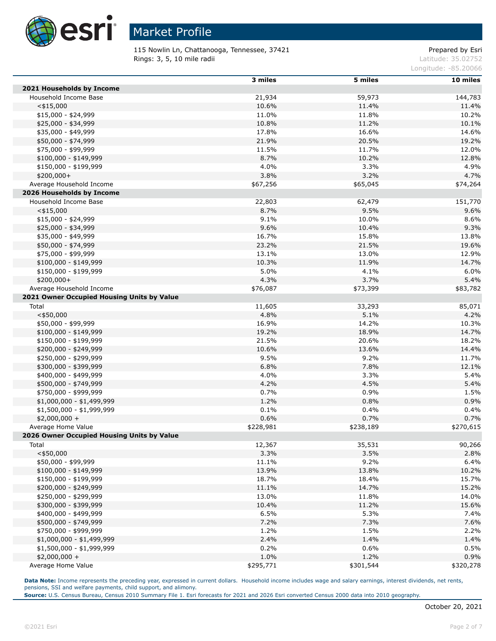

115 Nowlin Ln, Chattanooga, Tennessee, 37421 **Prepared by Esri** Prepared by Esri **Rings: 3, 5, 10 mile radii** Latitude: 35.02752

Longitude: -85.20066

|                                            | 3 miles   | 5 miles   | 10 miles  |
|--------------------------------------------|-----------|-----------|-----------|
| 2021 Households by Income                  |           |           |           |
| Household Income Base                      | 21,934    | 59,973    | 144,783   |
| $<$ \$15,000                               | 10.6%     | 11.4%     | 11.4%     |
| \$15,000 - \$24,999                        | 11.0%     | 11.8%     | 10.2%     |
| \$25,000 - \$34,999                        | 10.8%     | 11.2%     | 10.1%     |
| \$35,000 - \$49,999                        | 17.8%     | 16.6%     | 14.6%     |
| \$50,000 - \$74,999                        | 21.9%     | 20.5%     | 19.2%     |
| \$75,000 - \$99,999                        | 11.5%     | 11.7%     | 12.0%     |
| $$100,000 - $149,999$                      | 8.7%      | 10.2%     | 12.8%     |
| \$150,000 - \$199,999                      | 4.0%      | 3.3%      | 4.9%      |
| $$200,000+$                                | 3.8%      | 3.2%      | 4.7%      |
| Average Household Income                   | \$67,256  | \$65,045  | \$74,264  |
| 2026 Households by Income                  |           |           |           |
| Household Income Base                      | 22,803    | 62,479    | 151,770   |
| $<$ \$15,000                               | 8.7%      | 9.5%      | 9.6%      |
| $$15,000 - $24,999$                        | 9.1%      | 10.0%     | 8.6%      |
| \$25,000 - \$34,999                        | 9.6%      | 10.4%     | 9.3%      |
| \$35,000 - \$49,999                        | 16.7%     | 15.8%     | 13.8%     |
| \$50,000 - \$74,999                        | 23.2%     | 21.5%     | 19.6%     |
| \$75,000 - \$99,999                        | 13.1%     | 13.0%     | 12.9%     |
| $$100,000 - $149,999$                      | 10.3%     | 11.9%     | 14.7%     |
| \$150,000 - \$199,999                      | 5.0%      | 4.1%      | 6.0%      |
| \$200,000+                                 | 4.3%      | 3.7%      | 5.4%      |
| Average Household Income                   | \$76,087  | \$73,399  | \$83,782  |
| 2021 Owner Occupied Housing Units by Value |           |           |           |
| Total                                      | 11,605    | 33,293    | 85,071    |
| $<$ \$50,000                               | 4.8%      | 5.1%      | 4.2%      |
| \$50,000 - \$99,999                        | 16.9%     | 14.2%     | 10.3%     |
| \$100,000 - \$149,999                      | 19.2%     | 18.9%     | 14.7%     |
| \$150,000 - \$199,999                      | 21.5%     | 20.6%     | 18.2%     |
| \$200,000 - \$249,999                      | 10.6%     | 13.6%     | 14.4%     |
| \$250,000 - \$299,999                      | 9.5%      | 9.2%      | 11.7%     |
| \$300,000 - \$399,999                      | 6.8%      | 7.8%      | 12.1%     |
| \$400,000 - \$499,999                      | 4.0%      | 3.3%      | 5.4%      |
| \$500,000 - \$749,999                      | 4.2%      | 4.5%      | 5.4%      |
| \$750,000 - \$999,999                      | 0.7%      | 0.9%      | 1.5%      |
| $$1,000,000 - $1,499,999$                  | 1.2%      | 0.8%      | 0.9%      |
| \$1,500,000 - \$1,999,999                  | 0.1%      | 0.4%      | 0.4%      |
| $$2,000,000 +$                             | 0.6%      | 0.7%      | 0.7%      |
| Average Home Value                         | \$228,981 | \$238,189 | \$270,615 |
| 2026 Owner Occupied Housing Units by Value |           |           |           |
| Total                                      | 12,367    | 35,531    | 90,266    |
| $<$ \$50,000                               | 3.3%      | 3.5%      | 2.8%      |
| \$50,000 - \$99,999                        | 11.1%     | 9.2%      | 6.4%      |
| $$100,000 - $149,999$                      | 13.9%     | 13.8%     | 10.2%     |
| \$150,000 - \$199,999                      | 18.7%     | 18.4%     | 15.7%     |
| \$200,000 - \$249,999                      | 11.1%     | 14.7%     | 15.2%     |
| \$250,000 - \$299,999                      | 13.0%     | 11.8%     | 14.0%     |
| \$300,000 - \$399,999                      | 10.4%     | 11.2%     | 15.6%     |
| \$400,000 - \$499,999                      | 6.5%      | 5.3%      | 7.4%      |
| \$500,000 - \$749,999                      | 7.2%      | 7.3%      | 7.6%      |
| \$750,000 - \$999,999                      | 1.2%      | 1.5%      | 2.2%      |
| \$1,000,000 - \$1,499,999                  | 2.4%      | 1.4%      | 1.4%      |
| \$1,500,000 - \$1,999,999                  | 0.2%      | 0.6%      | 0.5%      |
| $$2,000,000 +$                             | 1.0%      | 1.2%      | 0.9%      |
| Average Home Value                         | \$295,771 | \$301,544 | \$320,278 |

Data Note: Income represents the preceding year, expressed in current dollars. Household income includes wage and salary earnings, interest dividends, net rents, pensions, SSI and welfare payments, child support, and alimony.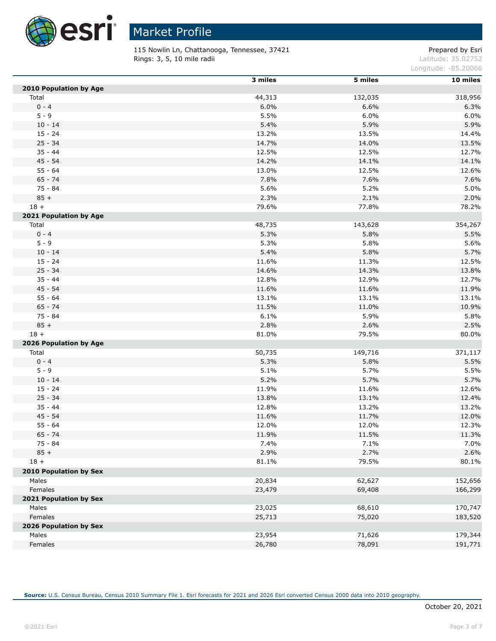

115 Nowlin Ln, Chattanooga, Tennessee, 37421 **Prepared by Esri** Prepared by Esri **Rings: 3, 5, 10 mile radii** Latitude: 35.02752

Longitude: -85.20066

|                               | 3 miles | 5 miles | 10 miles |
|-------------------------------|---------|---------|----------|
| 2010 Population by Age        |         |         |          |
| Total                         | 44,313  | 132,035 | 318,956  |
| $0 - 4$                       | 6.0%    | 6.6%    | 6.3%     |
| $5 - 9$                       | 5.5%    | 6.0%    | 6.0%     |
| $10 - 14$                     | 5.4%    | 5.9%    | 5.9%     |
| $15 - 24$                     | 13.2%   | 13.5%   | 14.4%    |
| $25 - 34$                     | 14.7%   | 14.0%   | 13.5%    |
| $35 - 44$                     | 12.5%   | 12.5%   | 12.7%    |
| $45 - 54$                     | 14.2%   | 14.1%   | 14.1%    |
| $55 - 64$                     | 13.0%   | 12.5%   | 12.6%    |
| $65 - 74$                     | 7.8%    | 7.6%    | 7.6%     |
| $75 - 84$                     | 5.6%    | 5.2%    | 5.0%     |
| $85 +$                        | 2.3%    | 2.1%    | 2.0%     |
| $18 +$                        | 79.6%   | 77.8%   | 78.2%    |
| 2021 Population by Age        |         |         |          |
| Total                         | 48,735  | 143,628 | 354,267  |
| $0 - 4$                       | 5.3%    | 5.8%    | 5.5%     |
| $5 - 9$                       | 5.3%    | 5.8%    | 5.6%     |
| $10 - 14$                     | 5.4%    | 5.8%    | 5.7%     |
| $15 - 24$                     | 11.6%   | 11.3%   | 12.5%    |
| $25 - 34$                     | 14.6%   | 14.3%   | 13.8%    |
| $35 - 44$                     | 12.8%   | 12.9%   | 12.7%    |
| $45 - 54$                     | 11.6%   | 11.6%   | 11.9%    |
| $55 - 64$                     | 13.1%   | 13.1%   | 13.1%    |
| $65 - 74$                     | 11.5%   | 11.0%   | 10.9%    |
| 75 - 84                       | 6.1%    | 5.9%    | 5.8%     |
| $85 +$                        | 2.8%    | 2.6%    | 2.5%     |
| $18 +$                        | 81.0%   | 79.5%   | 80.0%    |
| 2026 Population by Age        |         |         |          |
| Total                         | 50,735  | 149,716 | 371,117  |
| $0 - 4$                       | 5.3%    | 5.8%    | 5.5%     |
| $5 - 9$                       | 5.1%    | 5.7%    | 5.5%     |
| $10 - 14$                     | 5.2%    | 5.7%    | 5.7%     |
| $15 - 24$                     | 11.9%   | 11.6%   | 12.6%    |
| $25 - 34$                     | 13.8%   | 13.1%   | 12.4%    |
| $35 - 44$                     | 12.8%   | 13.2%   | 13.2%    |
| $45 - 54$                     | 11.6%   | 11.7%   | 12.0%    |
| $55 - 64$                     | 12.0%   | 12.0%   | 12.3%    |
| $65 - 74$                     | 11.9%   | 11.5%   | 11.3%    |
| $75 - 84$                     | 7.4%    | 7.1%    | 7.0%     |
| $85 +$                        | 2.9%    | 2.7%    | 2.6%     |
| $18 +$                        | 81.1%   | 79.5%   | 80.1%    |
| <b>2010 Population by Sex</b> |         |         |          |
| Males                         | 20,834  | 62,627  | 152,656  |
| Females                       | 23,479  | 69,408  | 166,299  |
| 2021 Population by Sex        |         |         |          |
| Males                         | 23,025  | 68,610  | 170,747  |
| Females                       | 25,713  | 75,020  | 183,520  |
| 2026 Population by Sex        |         |         |          |
| Males                         | 23,954  | 71,626  | 179,344  |
| Females                       | 26,780  | 78,091  | 191,771  |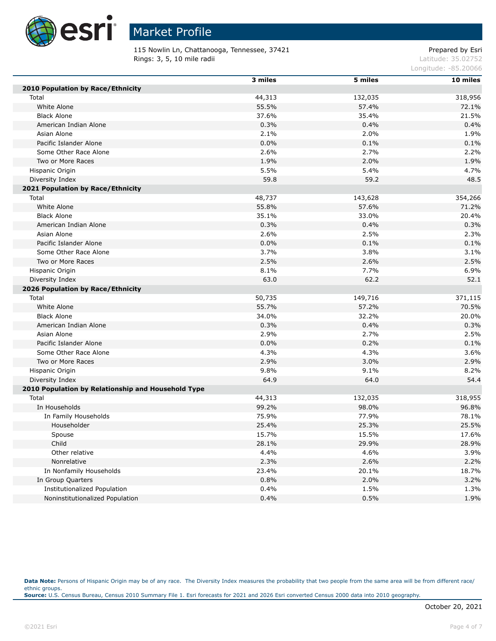

115 Nowlin Ln, Chattanooga, Tennessee, 37421 **Prepared by Esri** Prepared by Esri **Rings: 3, 5, 10 mile radii** Latitude: 35.02752

Longitude: -85.20066

|                                                    | 3 miles | 5 miles | 10 miles |
|----------------------------------------------------|---------|---------|----------|
| <b>2010 Population by Race/Ethnicity</b>           |         |         |          |
| Total                                              | 44,313  | 132,035 | 318,956  |
| White Alone                                        | 55.5%   | 57.4%   | 72.1%    |
| <b>Black Alone</b>                                 | 37.6%   | 35.4%   | 21.5%    |
| American Indian Alone                              | 0.3%    | 0.4%    | 0.4%     |
| Asian Alone                                        | 2.1%    | 2.0%    | 1.9%     |
| Pacific Islander Alone                             | 0.0%    | 0.1%    | 0.1%     |
| Some Other Race Alone                              | 2.6%    | 2.7%    | 2.2%     |
| Two or More Races                                  | 1.9%    | 2.0%    | 1.9%     |
| Hispanic Origin                                    | 5.5%    | 5.4%    | 4.7%     |
| Diversity Index                                    | 59.8    | 59.2    | 48.5     |
| 2021 Population by Race/Ethnicity                  |         |         |          |
| Total                                              | 48,737  | 143,628 | 354,266  |
| White Alone                                        | 55.8%   | 57.6%   | 71.2%    |
| <b>Black Alone</b>                                 | 35.1%   | 33.0%   | 20.4%    |
| American Indian Alone                              | 0.3%    | 0.4%    | 0.3%     |
| Asian Alone                                        | 2.6%    | 2.5%    | 2.3%     |
| Pacific Islander Alone                             | 0.0%    | 0.1%    | 0.1%     |
| Some Other Race Alone                              | 3.7%    | 3.8%    | 3.1%     |
| Two or More Races                                  | 2.5%    | 2.6%    | 2.5%     |
| Hispanic Origin                                    | 8.1%    | 7.7%    | 6.9%     |
| Diversity Index                                    | 63.0    | 62.2    | 52.1     |
| 2026 Population by Race/Ethnicity                  |         |         |          |
| Total                                              | 50,735  | 149,716 | 371,115  |
| White Alone                                        | 55.7%   | 57.2%   | 70.5%    |
| <b>Black Alone</b>                                 | 34.0%   | 32.2%   | 20.0%    |
| American Indian Alone                              | 0.3%    | 0.4%    | 0.3%     |
| Asian Alone                                        | 2.9%    | 2.7%    | 2.5%     |
| Pacific Islander Alone                             | 0.0%    | 0.2%    | 0.1%     |
| Some Other Race Alone                              | 4.3%    | 4.3%    | 3.6%     |
| Two or More Races                                  | 2.9%    | 3.0%    | 2.9%     |
| Hispanic Origin                                    | 9.8%    | 9.1%    | 8.2%     |
| Diversity Index                                    | 64.9    | 64.0    | 54.4     |
| 2010 Population by Relationship and Household Type |         |         |          |
| Total                                              | 44,313  | 132,035 | 318,955  |
| In Households                                      | 99.2%   | 98.0%   | 96.8%    |
| In Family Households                               | 75.9%   | 77.9%   | 78.1%    |
| Householder                                        | 25.4%   | 25.3%   | 25.5%    |
| Spouse                                             | 15.7%   | 15.5%   | 17.6%    |
| Child                                              | 28.1%   | 29.9%   | 28.9%    |
| Other relative                                     | 4.4%    | 4.6%    | 3.9%     |
| Nonrelative                                        | 2.3%    | 2.6%    | 2.2%     |
| In Nonfamily Households                            | 23.4%   | 20.1%   | 18.7%    |
| In Group Quarters                                  | 0.8%    | 2.0%    | 3.2%     |
| Institutionalized Population                       | 0.4%    | 1.5%    | 1.3%     |
| Noninstitutionalized Population                    | 0.4%    | 0.5%    | 1.9%     |

Data Note: Persons of Hispanic Origin may be of any race. The Diversity Index measures the probability that two people from the same area will be from different race/ ethnic groups. **Source:** U.S. Census Bureau, Census 2010 Summary File 1. Esri forecasts for 2021 and 2026 Esri converted Census 2000 data into 2010 geography.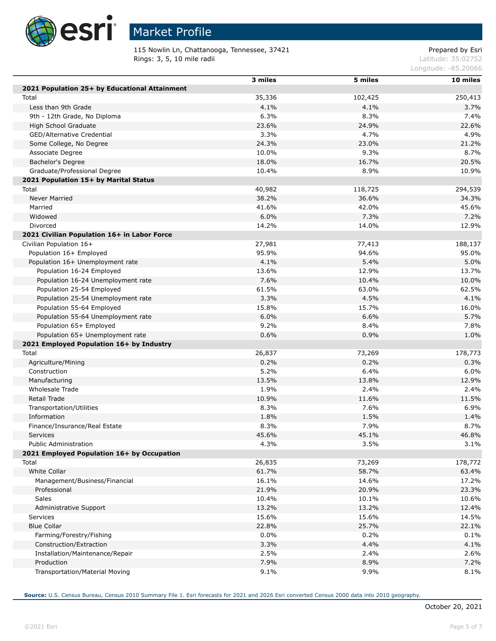

Г

Г

Г

# Market Profile

115 Nowlin Ln, Chattanooga, Tennessee, 37421 **Prepared by Esri** Prepared by Esri **Rings: 3, 5, 10 mile radii** Latitude: 35.02752

Longitude: -85.20066

|                                               | 3 miles | 5 miles | 10 miles |
|-----------------------------------------------|---------|---------|----------|
| 2021 Population 25+ by Educational Attainment |         |         |          |
| Total                                         | 35,336  | 102,425 | 250,413  |
| Less than 9th Grade                           | 4.1%    | 4.1%    | 3.7%     |
| 9th - 12th Grade, No Diploma                  | 6.3%    | 8.3%    | 7.4%     |
| High School Graduate                          | 23.6%   | 24.9%   | 22.6%    |
| GED/Alternative Credential                    | 3.3%    | 4.7%    | 4.9%     |
| Some College, No Degree                       | 24.3%   | 23.0%   | 21.2%    |
| Associate Degree                              | 10.0%   | 9.3%    | 8.7%     |
| Bachelor's Degree                             | 18.0%   | 16.7%   | 20.5%    |
| Graduate/Professional Degree                  | 10.4%   | 8.9%    | 10.9%    |
| 2021 Population 15+ by Marital Status         |         |         |          |
| Total                                         | 40,982  | 118,725 | 294,539  |
| <b>Never Married</b>                          | 38.2%   | 36.6%   | 34.3%    |
| Married                                       | 41.6%   | 42.0%   | 45.6%    |
| Widowed                                       | 6.0%    | 7.3%    | 7.2%     |
| Divorced                                      | 14.2%   | 14.0%   | 12.9%    |
| 2021 Civilian Population 16+ in Labor Force   |         |         |          |
| Civilian Population 16+                       | 27,981  | 77,413  | 188,137  |
| Population 16+ Employed                       | 95.9%   | 94.6%   | 95.0%    |
| Population 16+ Unemployment rate              | 4.1%    | 5.4%    | 5.0%     |
| Population 16-24 Employed                     | 13.6%   | 12.9%   | 13.7%    |
| Population 16-24 Unemployment rate            | 7.6%    | 10.4%   | 10.0%    |
| Population 25-54 Employed                     | 61.5%   | 63.0%   | 62.5%    |
| Population 25-54 Unemployment rate            | 3.3%    | 4.5%    | 4.1%     |
| Population 55-64 Employed                     | 15.8%   | 15.7%   | 16.0%    |
| Population 55-64 Unemployment rate            | 6.0%    | 6.6%    | 5.7%     |
| Population 65+ Employed                       | 9.2%    | 8.4%    | 7.8%     |
| Population 65+ Unemployment rate              | 0.6%    | 0.9%    | 1.0%     |
| 2021 Employed Population 16+ by Industry      |         |         |          |
| Total                                         | 26,837  | 73,269  | 178,773  |
| Agriculture/Mining                            | 0.2%    | 0.2%    | 0.3%     |
| Construction                                  | 5.2%    | 6.4%    | 6.0%     |
| Manufacturing                                 | 13.5%   | 13.8%   | 12.9%    |
| <b>Wholesale Trade</b>                        | 1.9%    | 2.4%    | 2.4%     |
| Retail Trade                                  | 10.9%   | 11.6%   | 11.5%    |
| Transportation/Utilities                      | 8.3%    | 7.6%    | 6.9%     |
| Information                                   | 1.8%    | 1.5%    | 1.4%     |
| Finance/Insurance/Real Estate                 | 8.3%    | 7.9%    | 8.7%     |
| Services                                      | 45.6%   | 45.1%   | 46.8%    |
| <b>Public Administration</b>                  | 4.3%    | 3.5%    | 3.1%     |
| 2021 Employed Population 16+ by Occupation    |         |         |          |
| Total                                         | 26,835  | 73,269  | 178,772  |
| White Collar                                  | 61.7%   | 58.7%   | 63.4%    |
| Management/Business/Financial                 | 16.1%   | 14.6%   | 17.2%    |
| Professional                                  | 21.9%   | 20.9%   | 23.3%    |
| Sales                                         | 10.4%   | 10.1%   | 10.6%    |
| Administrative Support                        | 13.2%   | 13.2%   | 12.4%    |
| <b>Services</b>                               | 15.6%   | 15.6%   | 14.5%    |
| <b>Blue Collar</b>                            | 22.8%   | 25.7%   | 22.1%    |
| Farming/Forestry/Fishing                      | 0.0%    | 0.2%    | 0.1%     |
| Construction/Extraction                       | 3.3%    | 4.4%    | 4.1%     |
| Installation/Maintenance/Repair               | 2.5%    | 2.4%    | 2.6%     |
| Production                                    | 7.9%    | 8.9%    | 7.2%     |
| Transportation/Material Moving                | 9.1%    | 9.9%    | 8.1%     |
|                                               |         |         |          |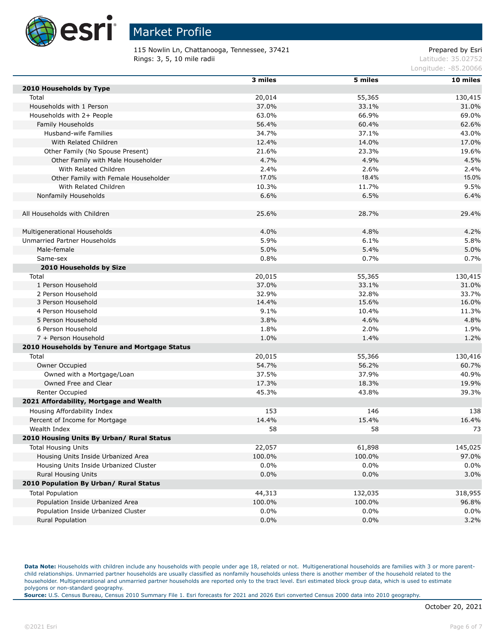

115 Nowlin Ln, Chattanooga, Tennessee, 37421 **Prepared by Esri** Prepared by Esri Rings: 3, 5, 10 mile radii and the contract of the contract of the contract of the contract of the contract of the contract of the contract of the contract of the contract of the contract of the contract of the contract of

Longitude: -85.20066

|                                               | 3 miles | 5 miles | 10 miles |
|-----------------------------------------------|---------|---------|----------|
| 2010 Households by Type                       |         |         |          |
| Total                                         | 20,014  | 55,365  | 130,415  |
| Households with 1 Person                      | 37.0%   | 33.1%   | 31.0%    |
| Households with 2+ People                     | 63.0%   | 66.9%   | 69.0%    |
| Family Households                             | 56.4%   | 60.4%   | 62.6%    |
| Husband-wife Families                         | 34.7%   | 37.1%   | 43.0%    |
| With Related Children                         | 12.4%   | 14.0%   | 17.0%    |
| Other Family (No Spouse Present)              | 21.6%   | 23.3%   | 19.6%    |
| Other Family with Male Householder            | 4.7%    | 4.9%    | 4.5%     |
| With Related Children                         | 2.4%    | 2.6%    | 2.4%     |
| Other Family with Female Householder          | 17.0%   | 18.4%   | 15.0%    |
| With Related Children                         | 10.3%   | 11.7%   | 9.5%     |
| Nonfamily Households                          | 6.6%    | 6.5%    | 6.4%     |
|                                               |         |         |          |
| All Households with Children                  | 25.6%   | 28.7%   | 29.4%    |
|                                               |         |         |          |
| Multigenerational Households                  | 4.0%    | 4.8%    | 4.2%     |
| Unmarried Partner Households                  | 5.9%    | 6.1%    | 5.8%     |
| Male-female                                   | 5.0%    | 5.4%    | 5.0%     |
| Same-sex                                      | 0.8%    | 0.7%    | 0.7%     |
| 2010 Households by Size                       |         |         |          |
| Total                                         | 20,015  | 55,365  | 130,415  |
| 1 Person Household                            | 37.0%   | 33.1%   | 31.0%    |
| 2 Person Household                            | 32.9%   | 32.8%   | 33.7%    |
| 3 Person Household                            | 14.4%   | 15.6%   | 16.0%    |
| 4 Person Household                            | 9.1%    | 10.4%   | 11.3%    |
| 5 Person Household                            | 3.8%    | 4.6%    | 4.8%     |
| 6 Person Household                            | 1.8%    | 2.0%    | 1.9%     |
| 7 + Person Household                          | 1.0%    | 1.4%    | 1.2%     |
| 2010 Households by Tenure and Mortgage Status |         |         |          |
| Total                                         | 20,015  | 55,366  | 130,416  |
| Owner Occupied                                | 54.7%   | 56.2%   | 60.7%    |
| Owned with a Mortgage/Loan                    | 37.5%   | 37.9%   | 40.9%    |
| Owned Free and Clear                          | 17.3%   | 18.3%   | 19.9%    |
| Renter Occupied                               | 45.3%   | 43.8%   | 39.3%    |
| 2021 Affordability, Mortgage and Wealth       |         |         |          |
| Housing Affordability Index                   | 153     | 146     | 138      |
| Percent of Income for Mortgage                | 14.4%   | 15.4%   | 16.4%    |
| Wealth Index                                  | 58      | 58      | 73       |
| 2010 Housing Units By Urban/ Rural Status     |         |         |          |
| <b>Total Housing Units</b>                    | 22,057  | 61,898  | 145,025  |
| Housing Units Inside Urbanized Area           | 100.0%  | 100.0%  | 97.0%    |
| Housing Units Inside Urbanized Cluster        | 0.0%    | $0.0\%$ | 0.0%     |
| Rural Housing Units                           | 0.0%    | 0.0%    | 3.0%     |
| 2010 Population By Urban/ Rural Status        |         |         |          |
| <b>Total Population</b>                       | 44,313  | 132,035 | 318,955  |
| Population Inside Urbanized Area              | 100.0%  | 100.0%  | 96.8%    |
| Population Inside Urbanized Cluster           | 0.0%    | $0.0\%$ | 0.0%     |
| Rural Population                              | 0.0%    | 0.0%    | 3.2%     |

Data Note: Households with children include any households with people under age 18, related or not. Multigenerational households are families with 3 or more parentchild relationships. Unmarried partner households are usually classified as nonfamily households unless there is another member of the household related to the householder. Multigenerational and unmarried partner households are reported only to the tract level. Esri estimated block group data, which is used to estimate polygons or non-standard geography.